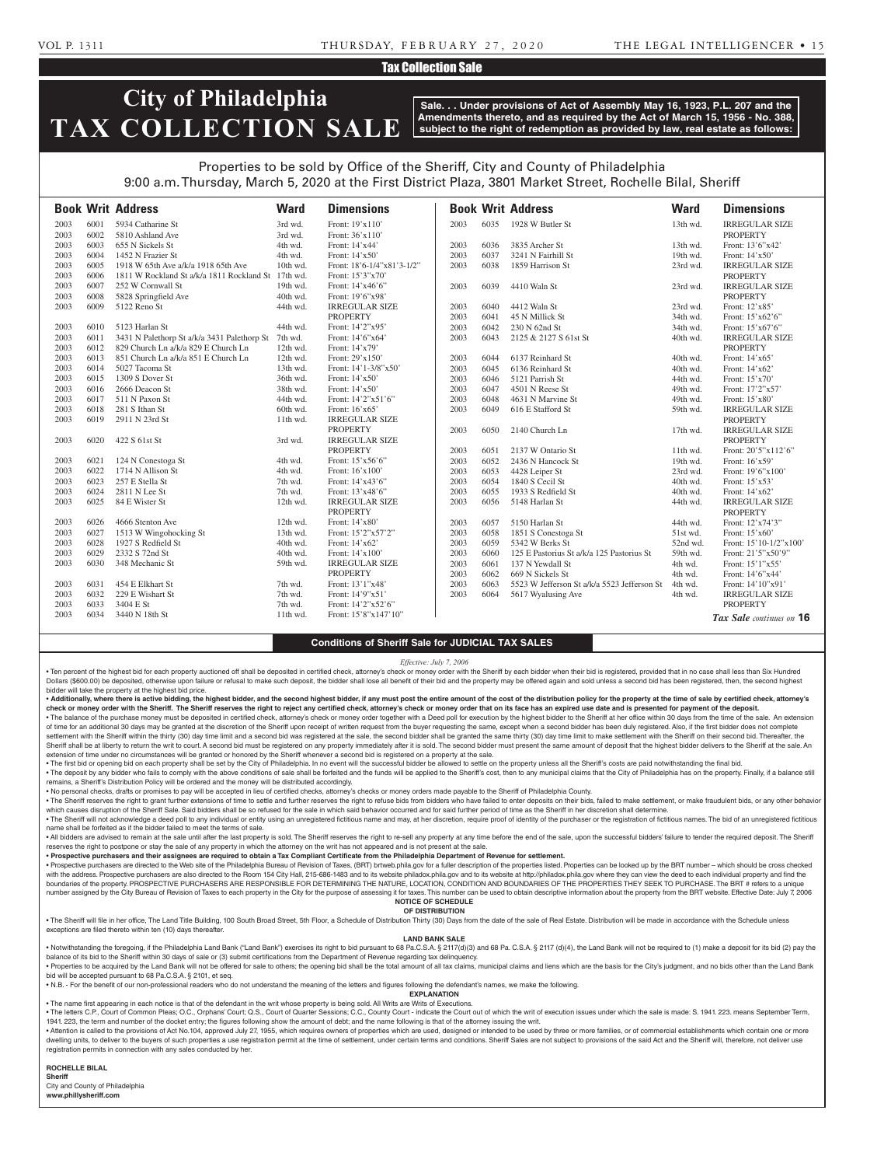### VOL P. 1311 THURSDAY, FEBRUARY 27, 2020 THE LEGAL INTELLIGENCER • 15

## Tax Collection Sale

# **City of Philadelphia TAX COLLECTION SALE**

**Sale. . . Under provisions of Act of Assembly May 16, 1923, P.L. 207 and the Amendments thereto, and as required by the Act of March 15, 1956 - No. 388, subject to the right of redemption as provided by law, real estate as follows:**

# Properties to be sold by Office of the Sheriff, City and County of Philadelphia

9:00 a.m. Thursday, March 5, 2020 at the First District Plaza, 3801 Market Street, Rochelle Bilal, Sheriff

|      |      | <b>Book Writ Address</b>                           | <b>Ward</b> | <b>Dimensions</b>                        |      |      | <b>Book Writ Address</b>                    | <b>Ward</b> | <b>Dimensions</b>                        |
|------|------|----------------------------------------------------|-------------|------------------------------------------|------|------|---------------------------------------------|-------------|------------------------------------------|
| 2003 | 6001 | 5934 Catharine St                                  | 3rd wd.     | Front: 19'x110'                          | 2003 | 6035 | 1928 W Butler St                            | 13th wd.    | <b>IRREGULAR SIZE</b>                    |
| 2003 | 6002 | 5810 Ashland Ave                                   | 3rd wd.     | Front: 36'x110'                          |      |      |                                             |             | <b>PROPERTY</b>                          |
| 2003 | 6003 | 655 N Sickels St                                   | 4th wd.     | Front: 14'x44'                           | 2003 | 6036 | 3835 Archer St                              | 13th wd.    | Front: 13'6"x42'                         |
| 2003 | 6004 | 1452 N Frazier St                                  | 4th wd.     | Front: $14'x50'$                         | 2003 | 6037 | 3241 N Fairhill St                          | 19th wd.    | Front: $14'x50'$                         |
| 2003 | 6005 | 1918 W 65th Ave a/k/a 1918 65th Ave                | 10th wd.    | Front: 18'6-1/4"x81'3-1/2"               | 2003 | 6038 | 1859 Harrison St                            | 23rd wd.    | <b>IRREGULAR SIZE</b>                    |
| 2003 | 6006 | 1811 W Rockland St a/k/a 1811 Rockland St 17th wd. |             | Front: 15'3"x70"                         |      |      |                                             |             | <b>PROPERTY</b>                          |
| 2003 | 6007 | 252 W Cornwall St                                  | 19th wd.    | Front: 14'x46'6"                         | 2003 | 6039 | 4410 Waln St                                | 23rd wd.    | <b>IRREGULAR SIZE</b>                    |
| 2003 | 6008 | 5828 Springfield Ave                               | 40th wd.    | Front: 19'6"x98'                         |      |      |                                             |             | <b>PROPERTY</b>                          |
| 2003 | 6009 | 5122 Reno St                                       | 44th wd.    | <b>IRREGULAR SIZE</b>                    | 2003 | 6040 | 4412 Waln St                                | 23rd wd.    | Front: 12'x85'                           |
|      |      |                                                    |             | <b>PROPERTY</b>                          | 2003 | 6041 | 45 N Millick St                             | 34th wd.    | Front: 15'x62'6"                         |
| 2003 | 6010 | 5123 Harlan St                                     | 44th wd.    | Front: 14'2"x95'                         | 2003 | 6042 | 230 N 62nd St                               | 34th wd.    | Front: 15'x67'6"                         |
| 2003 | 6011 | 3431 N Palethorp St a/k/a 3431 Palethorp St        | 7th wd.     | Front: 14'6"x64'                         | 2003 | 6043 | 2125 & 2127 S 61st St                       | 40th wd.    | <b>IRREGULAR SIZE</b>                    |
| 2003 | 6012 | 829 Church Ln a/k/a 829 E Church Ln                | 12th wd.    | Front: 14'x79'                           |      |      |                                             |             | <b>PROPERTY</b>                          |
| 2003 | 6013 | 851 Church Ln a/k/a 851 E Church Ln                | 12th wd.    | Front: 29'x150'                          | 2003 | 6044 | 6137 Reinhard St                            | 40th wd.    | Front: 14'x65'                           |
| 2003 | 6014 | 5027 Tacoma St                                     | 13th wd.    | Front: 14'1-3/8"x50'                     | 2003 | 6045 | 6136 Reinhard St                            | 40th wd.    | Front: 14'x62'                           |
| 2003 | 6015 | 1309 S Dover St                                    | 36th wd.    | Front: $14'x50'$                         | 2003 | 6046 | 5121 Parrish St                             | 44th wd.    | Front: 15'x70'                           |
| 2003 | 6016 | 2666 Deacon St                                     | 38th wd.    | Front: 14'x50'                           | 2003 | 6047 | 4501 N Reese St                             | 49th wd.    | Front: 17'2"x57'                         |
| 2003 | 6017 | 511 N Paxon St                                     | 44th wd.    | Front: 14'2"x51'6"                       | 2003 | 6048 | 4631 N Marvine St                           | 49th wd.    | Front: 15'x80'                           |
| 2003 | 6018 | 281 S Ithan St                                     | 60th wd.    | Front: 16'x65'                           | 2003 | 6049 | 616 E Stafford St                           | 59th wd.    | <b>IRREGULAR SIZE</b>                    |
| 2003 | 6019 | 2911 N 23rd St                                     | 11th wd.    | <b>IRREGULAR SIZE</b>                    |      |      |                                             |             | <b>PROPERTY</b>                          |
|      |      |                                                    |             | <b>PROPERTY</b>                          | 2003 | 6050 | 2140 Church Ln                              | 17th wd.    | <b>IRREGULAR SIZE</b>                    |
| 2003 | 6020 | 422 S 61st St                                      | 3rd wd.     | <b>IRREGULAR SIZE</b>                    |      |      |                                             |             | <b>PROPERTY</b>                          |
|      |      |                                                    |             | <b>PROPERTY</b>                          | 2003 | 6051 | 2137 W Ontario St                           | 11th wd.    | Front: 20'5"x112'6"                      |
| 2003 | 6021 | 124 N Conestoga St                                 | 4th wd.     | Front: 15'x56'6"                         | 2003 | 6052 | 2436 N Hancock St                           | 19th wd.    | Front: 16'x59'                           |
| 2003 | 6022 | 1714 N Allison St                                  | 4th wd.     | Front: 16'x100'                          | 2003 | 6053 | 4428 Leiper St                              | 23rd wd.    | Front: 19'6"x100"                        |
| 2003 | 6023 | 257 E Stella St                                    | 7th wd.     | Front: 14'x43'6"                         | 2003 | 6054 | 1840 S Cecil St                             | 40th wd.    | Front: 15'x53'                           |
| 2003 | 6024 | 2811 N Lee St                                      | 7th wd.     | Front: 13'x48'6"                         | 2003 | 6055 | 1933 S Redfield St                          | 40th wd.    | Front: 14'x62'                           |
| 2003 | 6025 | 84 E Wister St                                     | 12th wd.    | <b>IRREGULAR SIZE</b><br><b>PROPERTY</b> | 2003 | 6056 | 5148 Harlan St                              | 44th wd.    | <b>IRREGULAR SIZE</b><br><b>PROPERTY</b> |
| 2003 | 6026 | 4666 Stenton Ave                                   | 12th wd.    | Front: 14'x80'                           | 2003 | 6057 | 5150 Harlan St                              | 44th wd.    | Front: 12'x74'3"                         |
| 2003 | 6027 | 1513 W Wingohocking St                             | 13th wd.    | Front: 15'2"x57'2"                       | 2003 | 6058 | 1851 S Conestoga St                         | 51st wd.    | Front: 15'x60'                           |
| 2003 | 6028 | 1927 S Redfield St                                 | 40th wd.    | Front: 14'x62'                           | 2003 | 6059 | 5342 W Berks St                             | 52nd wd.    | Front: 15'10-1/2"x100"                   |
| 2003 | 6029 | 2332 S 72nd St                                     | 40th wd.    | Front: 14'x100'                          | 2003 | 6060 | 125 E Pastorius St a/k/a 125 Pastorius St   | 59th wd.    | Front: 21'5"x50'9"                       |
| 2003 | 6030 | 348 Mechanic St                                    | 59th wd.    | <b>IRREGULAR SIZE</b>                    | 2003 | 6061 | 137 N Yewdall St                            | 4th wd.     | Front: 15'1"x55'                         |
|      |      |                                                    |             | <b>PROPERTY</b>                          | 2003 | 6062 | 669 N Sickels St                            | 4th wd.     | Front: 14'6"x44'                         |
| 2003 | 6031 | 454 E Elkhart St                                   | 7th wd.     | Front: 13'1"x48'                         | 2003 | 6063 | 5523 W Jefferson St a/k/a 5523 Jefferson St | 4th wd.     | Front: 14'10"x91'                        |
| 2003 | 6032 | 229 E Wishart St                                   | 7th wd.     | Front: 14'9"x51'                         | 2003 | 6064 | 5617 Wyalusing Ave                          | 4th wd.     | <b>IRREGULAR SIZE</b>                    |
| 2003 | 6033 | 3404 E St                                          | 7th wd.     | Front: 14'2"x52'6"                       |      |      |                                             |             | <b>PROPERTY</b>                          |
| 2003 | 6034 | 3440 N 18th St                                     | 11th wd.    | Front: 15'8"x147'10"                     |      |      |                                             |             | Tax Sale continues on 16                 |

### **Conditions of Sheriff Sale for JUDICIAL TAX SALES**

*Effective: July 7, 2006*

. Ten percent of the highest bid for each property auctioned off shall be deposited in certified check, attorney's check or money order with the Sheriff by each bidder when their bid is registered, provided that in no case Dollars (\$600.00) be deposited, otherwise upon failure or refusal to make such deposit, the bidder shall lose all benefit of their bid and the property may be offered again and sold unless a second bid has been registered, bidder will take the property at the highest bid price.

• Additionally, where there is active bidding, the highest bidder, and the second highest bidder, if any must post the entire amount of the cost of the distribution policy for the property at the time of sale by certified check or money order with the Sheriff. The Sheriff reserves the right to reject any certified check, attorney's check or money order that on its face has an expired use date and is presented for payment of the deposit. . The balance of the purchase money must be deposited in certified check, attorney's check or money order together with a Deed poll for execution by the highest bidder to the Sheriff at her office within 30 days from the t

of time for an additional 30 days may be granted at the discretion of the Sheriff upon receipt of written request from the buyer requesting the same, except when a second bidder has been duly registered. Also, if the first settlement with the Sheriff within the thirty (30) day time limit and a second bid was registered at the sale, the second bidder shall be granted the same thirty (30) day time limit to make settlement with the Sheriff on t Sheriff shall be at liberty to return the writ to court. A second bid must be registered on any property immediately after it is sold. The second bidder must present the same amount of deposit that the highest bidder deliv extension of time under no circumstances will be granted or honored by the Sheriff whenever a second bid is registered on a property at the sale.

. The first bid or opening bid on each property shall be set by the City of Philadelphia. In no event will the successful bidder be allowed to settle on the property unless all the Sheriff's costs are paid notwithstanding . The deposit by any bidder who fails to comply with the above conditions of sale shall be forfeited and the funds will be applied to the Sheriff's cost, then to any municipal claims that the City of Philadelphia has on th remains, a Sheriff's Distribution Policy will be ordered and the money will be distributed accordingly.

• No personal checks, drafts or promises to pay will be accepted in lieu of certified checks, attorney's checks or money orders made payable to the Sheriff of Philadelphia County.

. The Sheriff reserves the right to grant further extensions of time to settle and further reserves the right to refuse bids from bidders who have failed to enter deposits on their bids, failed to make settlement, or make which causes disruption of the Sheriff Sale. Said bidders shall be so refused for the sale in which said behavior occurred and for said further period of time as the Sheriff in her discretion shall determine.

. The Sheriff will not acknowledge a deed poll to any individual or entity using an unregistered fictitious name and may, at her discretion, require proof of identity of the purchaser or the registration of fictitious name name shall be forfeited as if the bidder failed to meet the terms of sale.

. All bidders are advised to remain at the sale until after the last property is sold. The Sheriff reserves the right to re-sell any property at any time before the end of the sale, upon the successful bidders' failure to reserves the right to postpone or stay the sale of any property in which the attorney on the writ has not appeared and is not present at the sale.

• **Prospective purchasers and their assignees are required to obtain a Tax Compliant Certificate from the Philadelphia Department of Revenue for settlement.**

. Prospective purchasers are directed to the Web site of the Philadelphia Bureau of Revision of Taxes, (BRT) brtweb.phila.gov for a fuller description of the properties listed. Properties can be looked up by the BRT number with the address. Prospective purchasers are also directed to the Room 154 City Hall, 215-686-1483 and to its website philadox.phila.gov and to its website at http://philadox.phila.gov where they can view the deed to each boundaries of the property. PROSPECTIVE PURCHASERS ARE RESPONSIBLE FOR DETERMINING THE NATURE, LOCATION, CONDITION AND BOUNDARIES OF THE PROPERTIES THEY SEEK TO PURCHASE. The BRT # refers to a unique number assigned by the City Bureau of Revision of Taxes to each property in the City for the purpose of assessing it for taxes. This number can be used to obtain descriptive information about the property from the BRT webs **NOTICE OF SCHEDULE**

#### **OF DISTRIBUTION**

. The Sheriff will file in her office, The Land Title Building, 100 South Broad Street, 5th Floor, a Schedule of Distribution Thirty (30) Days from the date of the sale of Real Estate. Distribution will be made in accordan exceptions are filed thereto within ten (10) days thereafter.

#### **LAND BANK SALE**

. Notwithstanding the foregoing, if the Philadelphia Land Bank ("Land Bank") exercises its right to bid pursuant to 68 Pa.C.S.A. § 2117(d)(3) and 68 Pa.C.S.A. § 2117 (d)(4), the Land Bank will not be required to (1) make a balance of its bid to the Sheriff within 30 days of sale or (3) submit certifications from the Department of Revenue regarding tax delinquency. • Properties to be acquired by the Land Bank will not be offered for sale to others; the opening bid shall be the total amount of all tax claims, municipal claims and liens which are the basis for the City's judgment, and

bid will be accepted pursuant to 68 Pa.C.S.A. § 2101, et seq. • N.B. - For the benefit of our non-professional readers who do not understand the meaning of the letters and figures following the defendant's names, we make the following.

**EXPLANATION** 

• The name first appearing in each notice is that of the defendant in the writ whose property is being sold. All Writs are Writs of Executions.

. The letters C.P., Court of Common Pleas; O.C., Orphans' Court; Q.S., Court of Quarter Sessions; C.C., County Court - indicate the Court out of which the writ of execution issues under which the sale is made: S. 1941. 223 1941. 223, the term and number of the docket entry; the figures following show the amount of debt; and the name following is that of the attorney issuing the writ.

. Attention is called to the provisions of Act No.104, approved July 27, 1955, which requires owners of properties which are used, designed or intended to be used by three or more families, or of commercial establishments dwelling units, to deliver to the buyers of such properties a use registration permit at the time of settlement, under certain terms and conditions. Sheriff Sales are not subject to provisions of the said Act and the Sheri registration permits in connection with any sales conducted by her.

#### **ROCHELLE BILAL**

**Sheriff**  City and County of Philadelphia

**www.phillysheriff.com**